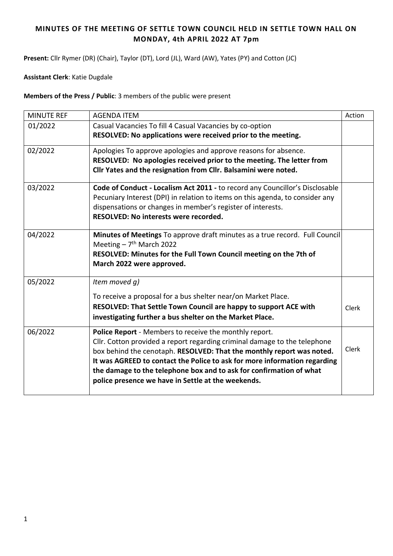## **MINUTES OF THE MEETING OF SETTLE TOWN COUNCIL HELD IN SETTLE TOWN HALL ON MONDAY, 4th APRIL 2022 AT 7pm**

**Present:** Cllr Rymer (DR) (Chair), Taylor (DT), Lord (JL), Ward (AW), Yates (PY) and Cotton (JC)

**Assistant Clerk**: Katie Dugdale

**Members of the Press / Public**: 3 members of the public were present

| <b>MINUTE REF</b> | <b>AGENDA ITEM</b>                                                                                                        | Action |
|-------------------|---------------------------------------------------------------------------------------------------------------------------|--------|
| 01/2022           | Casual Vacancies To fill 4 Casual Vacancies by co-option                                                                  |        |
|                   | RESOLVED: No applications were received prior to the meeting.                                                             |        |
| 02/2022           | Apologies To approve apologies and approve reasons for absence.                                                           |        |
|                   | RESOLVED: No apologies received prior to the meeting. The letter from                                                     |        |
|                   | Cllr Yates and the resignation from Cllr. Balsamini were noted.                                                           |        |
| 03/2022           | Code of Conduct - Localism Act 2011 - to record any Councillor's Disclosable                                              |        |
|                   | Pecuniary Interest (DPI) in relation to items on this agenda, to consider any                                             |        |
|                   | dispensations or changes in member's register of interests.                                                               |        |
|                   | RESOLVED: No interests were recorded.                                                                                     |        |
| 04/2022           | Minutes of Meetings To approve draft minutes as a true record. Full Council                                               |        |
|                   | Meeting $-7th$ March 2022                                                                                                 |        |
|                   | RESOLVED: Minutes for the Full Town Council meeting on the 7th of                                                         |        |
|                   | March 2022 were approved.                                                                                                 |        |
| 05/2022           | Item moved q)                                                                                                             |        |
|                   | To receive a proposal for a bus shelter near/on Market Place.                                                             |        |
|                   | RESOLVED: That Settle Town Council are happy to support ACE with                                                          | Clerk  |
|                   | investigating further a bus shelter on the Market Place.                                                                  |        |
| 06/2022           | Police Report - Members to receive the monthly report.                                                                    |        |
|                   | Cllr. Cotton provided a report regarding criminal damage to the telephone                                                 |        |
|                   | box behind the cenotaph. RESOLVED: That the monthly report was noted.                                                     | Clerk  |
|                   | It was AGREED to contact the Police to ask for more information regarding                                                 |        |
|                   | the damage to the telephone box and to ask for confirmation of what<br>police presence we have in Settle at the weekends. |        |
|                   |                                                                                                                           |        |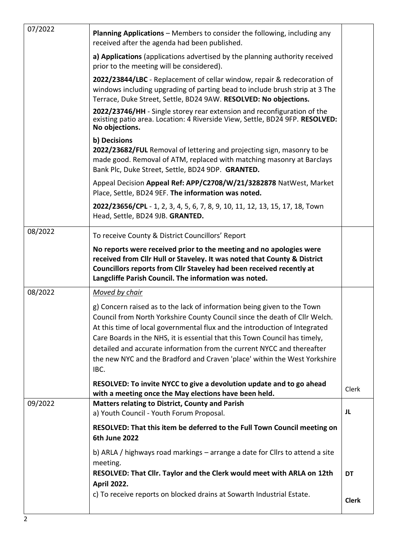| 07/2022 | <b>Planning Applications</b> – Members to consider the following, including any<br>received after the agenda had been published.                                                                                                                                                                                                                                                                                                                                                 |              |
|---------|----------------------------------------------------------------------------------------------------------------------------------------------------------------------------------------------------------------------------------------------------------------------------------------------------------------------------------------------------------------------------------------------------------------------------------------------------------------------------------|--------------|
|         | a) Applications (applications advertised by the planning authority received<br>prior to the meeting will be considered).                                                                                                                                                                                                                                                                                                                                                         |              |
|         | 2022/23844/LBC - Replacement of cellar window, repair & redecoration of<br>windows including upgrading of parting bead to include brush strip at 3 The<br>Terrace, Duke Street, Settle, BD24 9AW. RESOLVED: No objections.                                                                                                                                                                                                                                                       |              |
|         | 2022/23746/HH - Single storey rear extension and reconfiguration of the<br>existing patio area. Location: 4 Riverside View, Settle, BD24 9FP. RESOLVED:<br>No objections.                                                                                                                                                                                                                                                                                                        |              |
|         | b) Decisions<br>2022/23682/FUL Removal of lettering and projecting sign, masonry to be<br>made good. Removal of ATM, replaced with matching masonry at Barclays<br>Bank Plc, Duke Street, Settle, BD24 9DP. GRANTED.                                                                                                                                                                                                                                                             |              |
|         | Appeal Decision Appeal Ref: APP/C2708/W/21/3282878 NatWest, Market<br>Place, Settle, BD24 9EF. The information was noted.                                                                                                                                                                                                                                                                                                                                                        |              |
|         | 2022/23656/CPL - 1, 2, 3, 4, 5, 6, 7, 8, 9, 10, 11, 12, 13, 15, 17, 18, Town<br>Head, Settle, BD24 9JB. GRANTED.                                                                                                                                                                                                                                                                                                                                                                 |              |
| 08/2022 | To receive County & District Councillors' Report                                                                                                                                                                                                                                                                                                                                                                                                                                 |              |
|         | No reports were received prior to the meeting and no apologies were<br>received from Cllr Hull or Staveley. It was noted that County & District<br>Councillors reports from Cllr Staveley had been received recently at<br>Langcliffe Parish Council. The information was noted.                                                                                                                                                                                                 |              |
| 08/2022 | Moved by chair                                                                                                                                                                                                                                                                                                                                                                                                                                                                   |              |
|         | g) Concern raised as to the lack of information being given to the Town<br>Council from North Yorkshire County Council since the death of Cllr Welch.<br>At this time of local governmental flux and the introduction of Integrated<br>Care Boards in the NHS, it is essential that this Town Council has timely,<br>detailed and accurate information from the current NYCC and thereafter<br>the new NYC and the Bradford and Craven 'place' within the West Yorkshire<br>IBC. |              |
|         | RESOLVED: To invite NYCC to give a devolution update and to go ahead<br>with a meeting once the May elections have been held.                                                                                                                                                                                                                                                                                                                                                    | Clerk        |
| 09/2022 | <b>Matters relating to District, County and Parish</b><br>a) Youth Council - Youth Forum Proposal.                                                                                                                                                                                                                                                                                                                                                                               | JL           |
|         | RESOLVED: That this item be deferred to the Full Town Council meeting on<br><b>6th June 2022</b>                                                                                                                                                                                                                                                                                                                                                                                 |              |
|         | b) ARLA / highways road markings - arrange a date for Cllrs to attend a site<br>meeting.<br>RESOLVED: That Cllr. Taylor and the Clerk would meet with ARLA on 12th                                                                                                                                                                                                                                                                                                               | <b>DT</b>    |
|         | <b>April 2022.</b><br>c) To receive reports on blocked drains at Sowarth Industrial Estate.                                                                                                                                                                                                                                                                                                                                                                                      |              |
|         |                                                                                                                                                                                                                                                                                                                                                                                                                                                                                  | <b>Clerk</b> |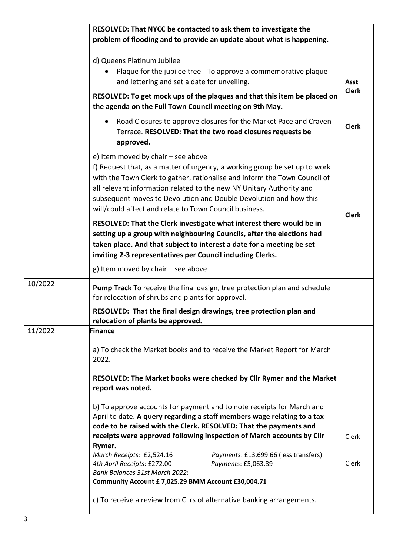|         | RESOLVED: That NYCC be contacted to ask them to investigate the<br>problem of flooding and to provide an update about what is happening.                                                                                                                                                                                                                                                             |                      |
|---------|------------------------------------------------------------------------------------------------------------------------------------------------------------------------------------------------------------------------------------------------------------------------------------------------------------------------------------------------------------------------------------------------------|----------------------|
|         | d) Queens Platinum Jubilee<br>Plaque for the jubilee tree - To approve a commemorative plaque<br>and lettering and set a date for unveiling.                                                                                                                                                                                                                                                         | Asst<br><b>Clerk</b> |
|         | RESOLVED: To get mock ups of the plaques and that this item be placed on<br>the agenda on the Full Town Council meeting on 9th May.                                                                                                                                                                                                                                                                  |                      |
|         | Road Closures to approve closures for the Market Pace and Craven<br>Terrace. RESOLVED: That the two road closures requests be<br>approved.                                                                                                                                                                                                                                                           | <b>Clerk</b>         |
|         | e) Item moved by chair - see above<br>f) Request that, as a matter of urgency, a working group be set up to work<br>with the Town Clerk to gather, rationalise and inform the Town Council of<br>all relevant information related to the new NY Unitary Authority and<br>subsequent moves to Devolution and Double Devolution and how this<br>will/could affect and relate to Town Council business. | <b>Clerk</b>         |
|         | RESOLVED: That the Clerk investigate what interest there would be in<br>setting up a group with neighbouring Councils, after the elections had<br>taken place. And that subject to interest a date for a meeting be set<br>inviting 2-3 representatives per Council including Clerks.                                                                                                                |                      |
|         | g) Item moved by chair - see above                                                                                                                                                                                                                                                                                                                                                                   |                      |
| 10/2022 | <b>Pump Track</b> To receive the final design, tree protection plan and schedule<br>for relocation of shrubs and plants for approval.                                                                                                                                                                                                                                                                |                      |
|         | RESOLVED: That the final design drawings, tree protection plan and<br>relocation of plants be approved.                                                                                                                                                                                                                                                                                              |                      |
| 11/2022 | Finance                                                                                                                                                                                                                                                                                                                                                                                              |                      |
|         | a) To check the Market books and to receive the Market Report for March<br>2022.                                                                                                                                                                                                                                                                                                                     |                      |
|         | RESOLVED: The Market books were checked by Cllr Rymer and the Market<br>report was noted.                                                                                                                                                                                                                                                                                                            |                      |
|         | b) To approve accounts for payment and to note receipts for March and<br>April to date. A query regarding a staff members wage relating to a tax<br>code to be raised with the Clerk. RESOLVED: That the payments and                                                                                                                                                                                |                      |
|         | receipts were approved following inspection of March accounts by Cllr<br>Rymer.                                                                                                                                                                                                                                                                                                                      | Clerk                |
|         | March Receipts: £2,524.16<br>Payments: £13,699.66 (less transfers)<br>4th April Receipts: £272.00<br>Payments: £5,063.89<br>Bank Balances 31st March 2022:                                                                                                                                                                                                                                           | Clerk                |
|         | Community Account £ 7,025.29 BMM Account £30,004.71                                                                                                                                                                                                                                                                                                                                                  |                      |
|         | c) To receive a review from Cllrs of alternative banking arrangements.                                                                                                                                                                                                                                                                                                                               |                      |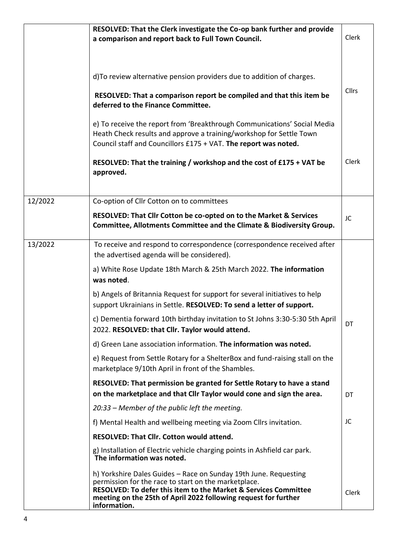|         | RESOLVED: That the Clerk investigate the Co-op bank further and provide                                                                                                                                                                                                        |              |
|---------|--------------------------------------------------------------------------------------------------------------------------------------------------------------------------------------------------------------------------------------------------------------------------------|--------------|
|         | a comparison and report back to Full Town Council.                                                                                                                                                                                                                             | Clerk        |
|         |                                                                                                                                                                                                                                                                                |              |
|         | d) To review alternative pension providers due to addition of charges.                                                                                                                                                                                                         |              |
|         | RESOLVED: That a comparison report be compiled and that this item be<br>deferred to the Finance Committee.                                                                                                                                                                     | <b>Cllrs</b> |
|         | e) To receive the report from 'Breakthrough Communications' Social Media<br>Heath Check results and approve a training/workshop for Settle Town<br>Council staff and Councillors £175 + VAT. The report was noted.                                                             |              |
|         | RESOLVED: That the training / workshop and the cost of £175 + VAT be<br>approved.                                                                                                                                                                                              | Clerk        |
| 12/2022 | Co-option of Cllr Cotton on to committees                                                                                                                                                                                                                                      |              |
|         | RESOLVED: That Cllr Cotton be co-opted on to the Market & Services<br>Committee, Allotments Committee and the Climate & Biodiversity Group.                                                                                                                                    | JC           |
| 13/2022 | To receive and respond to correspondence (correspondence received after<br>the advertised agenda will be considered).                                                                                                                                                          |              |
|         | a) White Rose Update 18th March & 25th March 2022. The information<br>was noted.                                                                                                                                                                                               |              |
|         | b) Angels of Britannia Request for support for several initiatives to help<br>support Ukrainians in Settle. RESOLVED: To send a letter of support.                                                                                                                             |              |
|         | c) Dementia forward 10th birthday invitation to St Johns 3:30-5:30 5th April<br>2022. RESOLVED: that Cllr. Taylor would attend.                                                                                                                                                | DT           |
|         | d) Green Lane association information. The information was noted.                                                                                                                                                                                                              |              |
|         | e) Request from Settle Rotary for a ShelterBox and fund-raising stall on the<br>marketplace 9/10th April in front of the Shambles.                                                                                                                                             |              |
|         | RESOLVED: That permission be granted for Settle Rotary to have a stand<br>on the marketplace and that Cllr Taylor would cone and sign the area.                                                                                                                                | DT           |
|         | 20:33 – Member of the public left the meeting.                                                                                                                                                                                                                                 |              |
|         | f) Mental Health and wellbeing meeting via Zoom Cllrs invitation.                                                                                                                                                                                                              | JC           |
|         | <b>RESOLVED: That Cllr. Cotton would attend.</b>                                                                                                                                                                                                                               |              |
|         | g) Installation of Electric vehicle charging points in Ashfield car park.<br>The information was noted.                                                                                                                                                                        |              |
|         | h) Yorkshire Dales Guides - Race on Sunday 19th June. Requesting<br>permission for the race to start on the marketplace.<br>RESOLVED: To defer this item to the Market & Services Committee<br>meeting on the 25th of April 2022 following request for further<br>information. | Clerk        |